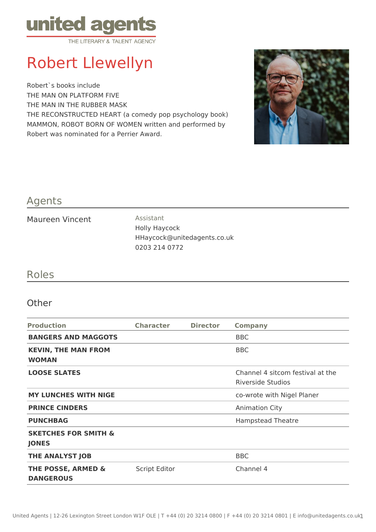

# Robert Llewellyn

Robert`s books include THE MAN ON PLATFORM FIVE THE MAN IN THE RUBBER MASK THE RECONSTRUCTED HEART (a comedy pop psychology book) MAMMON, ROBOT BORN OF WOMEN written and performed by Robert was nominated for a Perrier Award.



## Agents

#### Maureen Vincent **Assistant**

Holly Haycock HHaycock@unitedagents.co.uk 0203 214 0772

## Roles

### **Other**

| <b>Production</b>                                 | <b>Character</b>     | <b>Director</b> | <b>Company</b>                                        |
|---------------------------------------------------|----------------------|-----------------|-------------------------------------------------------|
| <b>BANGERS AND MAGGOTS</b>                        |                      |                 | <b>BBC</b>                                            |
| <b>KEVIN, THE MAN FROM</b><br><b>WOMAN</b>        |                      |                 | <b>BBC</b>                                            |
| <b>LOOSE SLATES</b>                               |                      |                 | Channel 4 sitcom festival at the<br>Riverside Studios |
| <b>MY LUNCHES WITH NIGE</b>                       |                      |                 | co-wrote with Nigel Planer                            |
| <b>PRINCE CINDERS</b>                             |                      |                 | <b>Animation City</b>                                 |
| <b>PUNCHBAG</b>                                   |                      |                 | <b>Hampstead Theatre</b>                              |
| <b>SKETCHES FOR SMITH &amp;</b><br><b>JONES</b>   |                      |                 |                                                       |
| <b>THE ANALYST JOB</b>                            |                      |                 | <b>BBC</b>                                            |
| <b>THE POSSE, ARMED &amp;</b><br><b>DANGEROUS</b> | <b>Script Editor</b> |                 | Channel 4                                             |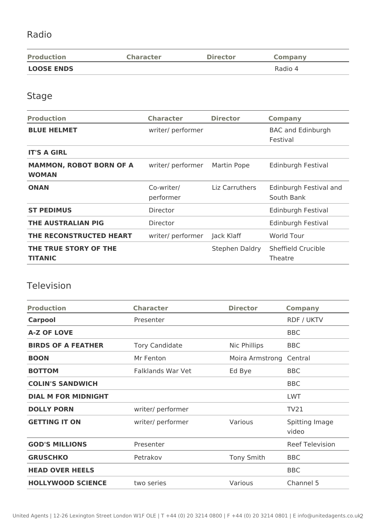## Radio

| <b>Production</b> | <b>Character</b> | <b>Director</b> | <b>Company</b> |
|-------------------|------------------|-----------------|----------------|
| <b>LOOSE ENDS</b> |                  |                 | Radio 4        |

## Stage

| <b>Production</b>                              | <b>Character</b>        | <b>Director</b> | <b>Company</b>                       |
|------------------------------------------------|-------------------------|-----------------|--------------------------------------|
| <b>BLUE HELMET</b>                             | writer/ performer       |                 | <b>BAC and Edinburgh</b><br>Festival |
| <b>IT'S A GIRL</b>                             |                         |                 |                                      |
| <b>MAMMON, ROBOT BORN OF A</b><br><b>WOMAN</b> | writer/ performer       | Martin Pope     | Edinburgh Festival                   |
| <b>ONAN</b>                                    | Co-writer/<br>performer | Liz Carruthers  | Edinburgh Festival and<br>South Bank |
| <b>ST PEDIMUS</b>                              | Director                |                 | Edinburgh Festival                   |
| <b>THE AUSTRALIAN PIG</b>                      | Director                |                 | Edinburgh Festival                   |
| THE RECONSTRUCTED HEART                        | writer/ performer       | Jack Klaff      | <b>World Tour</b>                    |
| THE TRUE STORY OF THE<br><b>TITANIC</b>        |                         | Stephen Daldry  | Sheffield Crucible<br>Theatre        |
|                                                |                         |                 |                                      |

## Television

| <b>Production</b>          | <b>Character</b>         | <b>Director</b>   | <b>Company</b>          |
|----------------------------|--------------------------|-------------------|-------------------------|
| <b>Carpool</b>             | Presenter                |                   | <b>RDF / UKTV</b>       |
| <b>A-Z OF LOVE</b>         |                          |                   | <b>BBC</b>              |
| <b>BIRDS OF A FEATHER</b>  | <b>Tory Candidate</b>    | Nic Phillips      | <b>BBC</b>              |
| <b>BOON</b>                | Mr Fenton                | Moira Armstrong   | Central                 |
| <b>BOTTOM</b>              | <b>Falklands War Vet</b> | Ed Bye            | <b>BBC</b>              |
| <b>COLIN'S SANDWICH</b>    |                          |                   | <b>BBC</b>              |
| <b>DIAL M FOR MIDNIGHT</b> |                          |                   | <b>LWT</b>              |
| <b>DOLLY PORN</b>          | writer/ performer        |                   | <b>TV21</b>             |
| <b>GETTING IT ON</b>       | writer/ performer        | Various           | Spitting Image<br>video |
| <b>GOD'S MILLIONS</b>      | Presenter                |                   | <b>Reef Television</b>  |
| <b>GRUSCHKO</b>            | Petrakov                 | <b>Tony Smith</b> | <b>BBC</b>              |
| <b>HEAD OVER HEELS</b>     |                          |                   | <b>BBC</b>              |
| <b>HOLLYWOOD SCIENCE</b>   | two series               | Various           | Channel 5               |